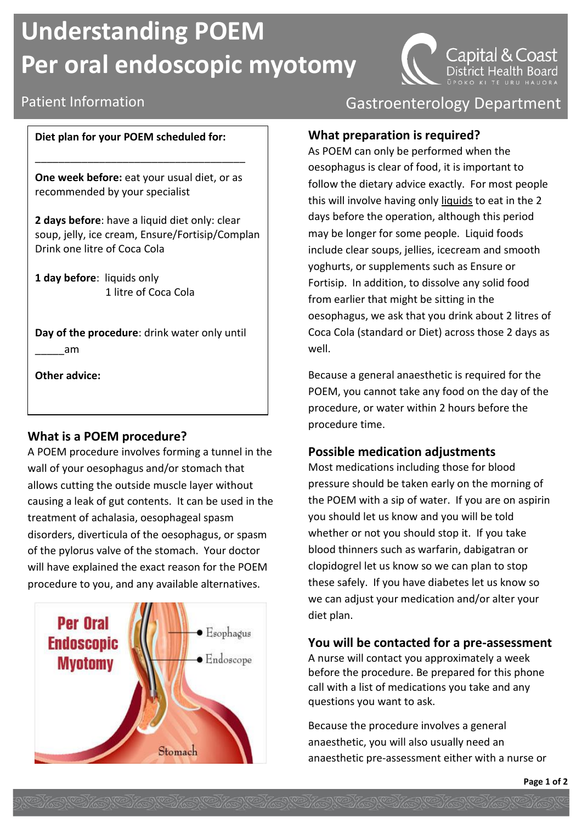# **Understanding POEM Per oral endoscopic myotomy**

#### **Diet plan for your POEM scheduled for:**

**One week before:** eat your usual diet, or as recommended by your specialist

\_\_\_\_\_\_\_\_\_\_\_\_\_\_\_\_\_\_\_\_\_\_\_\_\_\_\_\_\_\_\_\_\_\_\_\_

**2 days before**: have a liquid diet only: clear soup, jelly, ice cream, Ensure/Fortisip/Complan Drink one litre of Coca Cola

**1 day before**: liquids only 1 litre of Coca Cola

**Day of the procedure**: drink water only until \_\_\_\_\_am

**Other advice:**

#### **What is a POEM procedure?**

A POEM procedure involves forming a tunnel in the wall of your oesophagus and/or stomach that allows cutting the outside muscle layer without causing a leak of gut contents. It can be used in the treatment of achalasia, oesophageal spasm disorders, diverticula of the oesophagus, or spasm of the pylorus valve of the stomach. Your doctor will have explained the exact reason for the POEM procedure to you, and any available alternatives.



## Patient Information **Contract Contract Contract Contract Contract Contract Contract Contract Contract Contract**

District

Capital & Coast

#### **What preparation is required?**

As POEM can only be performed when the oesophagus is clear of food, it is important to follow the dietary advice exactly. For most people this will involve having only liquids to eat in the 2 days before the operation, although this period may be longer for some people. Liquid foods include clear soups, jellies, icecream and smooth yoghurts, or supplements such as Ensure or Fortisip. In addition, to dissolve any solid food from earlier that might be sitting in the oesophagus, we ask that you drink about 2 litres of Coca Cola (standard or Diet) across those 2 days as well.

Because a general anaesthetic is required for the POEM, you cannot take any food on the day of the procedure, or water within 2 hours before the procedure time.

### **Possible medication adjustments**

Most medications including those for blood pressure should be taken early on the morning of the POEM with a sip of water. If you are on aspirin you should let us know and you will be told whether or not you should stop it. If you take blood thinners such as warfarin, dabigatran or clopidogrel let us know so we can plan to stop these safely. If you have diabetes let us know so we can adjust your medication and/or alter your diet plan.

#### **You will be contacted for a pre-assessment**

A nurse will contact you approximately a week before the procedure. Be prepared for this phone call with a list of medications you take and any questions you want to ask.

Because the procedure involves a general anaesthetic, you will also usually need an anaesthetic pre-assessment either with a nurse or